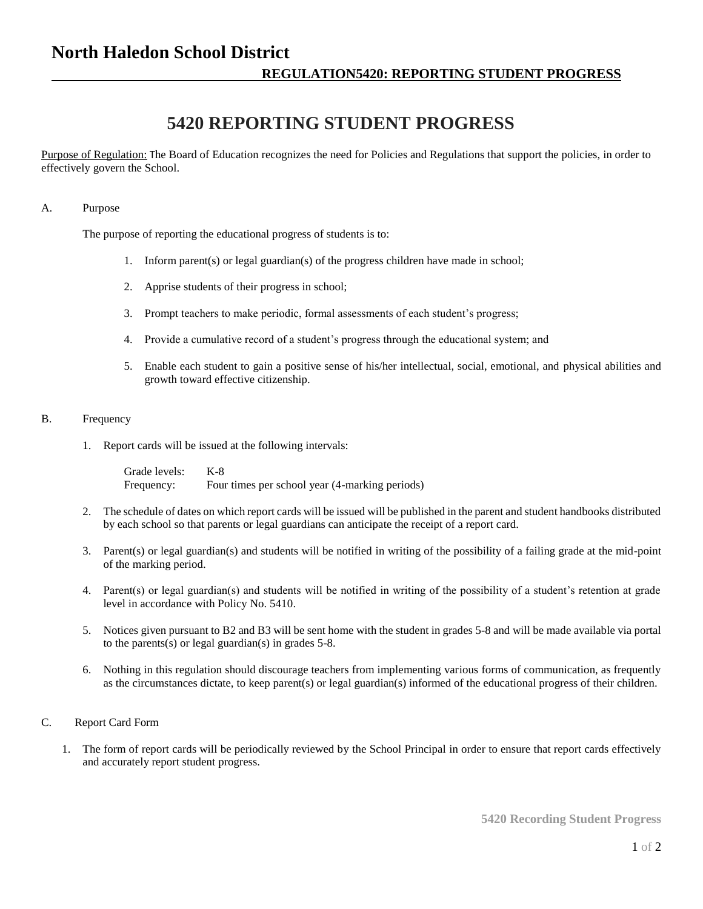# **North Haledon School District**

## **REGULATION5420: REPORTING STUDENT PROGRESS**

# **5420 REPORTING STUDENT PROGRESS**

Purpose of Regulation: The Board of Education recognizes the need for Policies and Regulations that support the policies, in order to effectively govern the School.

#### A. Purpose

The purpose of reporting the educational progress of students is to:

- 1. Inform parent(s) or legal guardian(s) of the progress children have made in school;
- 2. Apprise students of their progress in school;
- 3. Prompt teachers to make periodic, formal assessments of each student's progress;
- 4. Provide a cumulative record of a student's progress through the educational system; and
- 5. Enable each student to gain a positive sense of his/her intellectual, social, emotional, and physical abilities and growth toward effective citizenship.

#### B. Frequency

1. Report cards will be issued at the following intervals:

Grade levels: K-8 Frequency: Four times per school year (4-marking periods)

- 2. The schedule of dates on which report cards will be issued will be published in the parent and student handbooks distributed by each school so that parents or legal guardians can anticipate the receipt of a report card.
- 3. Parent(s) or legal guardian(s) and students will be notified in writing of the possibility of a failing grade at the mid-point of the marking period.
- 4. Parent(s) or legal guardian(s) and students will be notified in writing of the possibility of a student's retention at grade level in accordance with Policy No. 5410.
- 5. Notices given pursuant to B2 and B3 will be sent home with the student in grades 5-8 and will be made available via portal to the parents(s) or legal guardian(s) in grades 5-8.
- 6. Nothing in this regulation should discourage teachers from implementing various forms of communication, as frequently as the circumstances dictate, to keep parent(s) or legal guardian(s) informed of the educational progress of their children.

#### C. Report Card Form

1. The form of report cards will be periodically reviewed by the School Principal in order to ensure that report cards effectively and accurately report student progress.

**5420 Recording Student Progress**